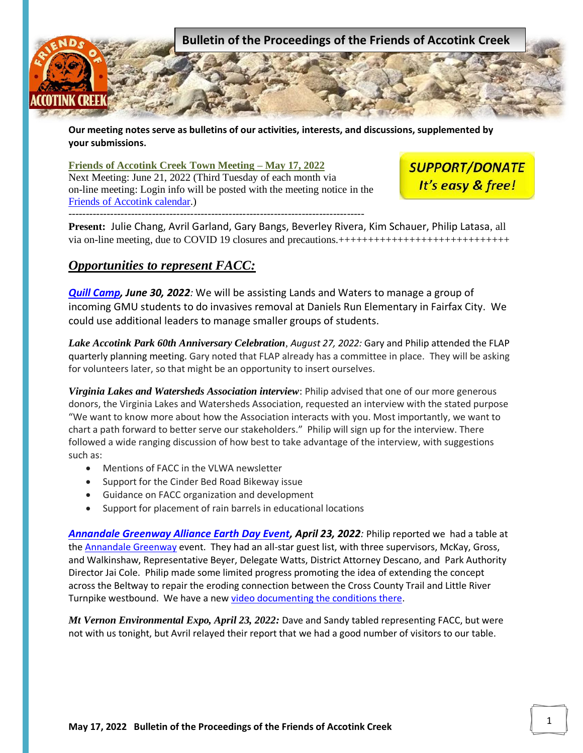

**Our meeting notes serve as bulletins of our activities, interests, and discussions, supplemented by your submissions.**

## **Friends of Accotink Creek Town Meeting – May 17, 2022**

Next Meeting: June 21, 2022 (Third Tuesday of each month via on-line meeting: Login info will be posted with the meeting notice in the [Friends of Accotink calendar.](https://www.accotink.org/cgi-bin/cal.pl)) -------------------------------------------------------------------------------------

**SUPPORT/DONATE** It's easy & free!

**Present:** Julie Chang, Avril Garland, Gary Bangs, Beverley Rivera, Kim Schauer, Philip Latasa, all via on-line meeting, due to COVID 19 closures and precautions.+++++++++++++++++++++++++++++

## *Opportunities to represent FACC:*

*[Quill Camp,](https://ofps.gmu.edu/quill-camp/registration/frequently-asked-questionsfaqs/) June 30, 2022:* We will be assisting Lands and Waters to manage a group of incoming GMU students to do invasives removal at Daniels Run Elementary in Fairfax City. We could use additional leaders to manage smaller groups of students.

*Lake Accotink Park 60th Anniversary Celebration, August 27, 2022:* Gary and Philip attended the FLAP quarterly planning meeting. Gary noted that FLAP already has a committee in place. They will be asking for volunteers later, so that might be an opportunity to insert ourselves.

*Virginia Lakes and Watersheds Association interview*: Philip advised that one of our more generous donors, the Virginia Lakes and Watersheds Association, requested an interview with the stated purpose "We want to know more about how the Association interacts with you. Most importantly, we want to chart a path forward to better serve our stakeholders." Philip will sign up for the interview. There followed a wide ranging discussion of how best to take advantage of the interview, with suggestions such as:

- Mentions of FACC in the VLWA newsletter
- Support for the Cinder Bed Road Bikeway issue
- Guidance on FACC organization and development
- Support for placement of rain barrels in educational locations

*[Annandale Greenway Alliance Earth Day Event,](https://www.facebook.com/AnnandaleGreenway/posts/362153472627861) April 23, 2022:* Philip reported we had a table at the [Annandale Greenway](https://www.facebook.com/AnnandaleGreenway) event. They had an all-star guest list, with three supervisors, McKay, Gross, and Walkinshaw, Representative Beyer, Delegate Watts, District Attorney Descano, and Park Authority Director Jai Cole. Philip made some limited progress promoting the idea of extending the concept across the Beltway to repair the eroding connection between the Cross County Trail and Little River Turnpike westbound. We have a new [video documenting the conditions there.](https://www.facebook.com/AccotinkCreek/videos/lets-protect-accotink-creek-from-erosion-and-sediment-and-improve-this-connectio/1256602761539987/)

*Mt Vernon Environmental Expo, April 23, 2022:* Dave and Sandy tabled representing FACC, but were not with us tonight, but Avril relayed their report that we had a good number of visitors to our table.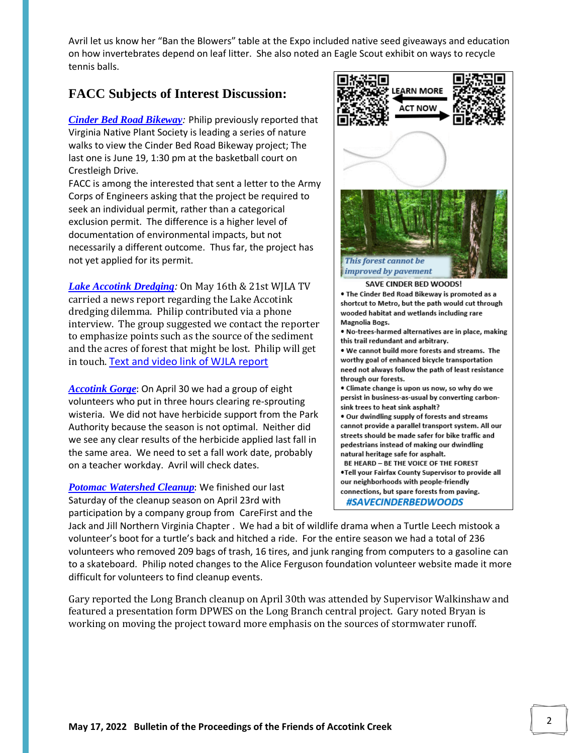Avril let us know her "[Ban the Blowers](https://quietcleannova.wordpress.com/)" table at the Expo included native seed giveaways and education on how invertebrates depend on leaf litter. She also noted an Eagle Scout exhibit on ways to recycle tennis balls.

## **FACC Subjects of Interest Discussion:**

*[Cinder Bed Road Bikeway](http://accotink.org/2021/CinderBedRoadBikeway2021.htm):* Philip previously reported that Virginia Native Plant Society is leading a series of nature walks to view the Cinder Bed Road Bikeway project; The last one is June 19, 1:30 pm at the basketball court on Crestleigh Drive.

FACC is among the interested that sent a letter to the Army Corps of Engineers asking that the project be required to seek an individual permit, rather than a categorical exclusion permit. The difference is a higher level of documentation of environmental impacts, but not necessarily a different outcome. Thus far, the project has not yet applied for its permit.

*[Lake Accotink Dredging](https://www.accotink.org/2016/MasterPlanLakeAccotink2016.htm):* On May 16th & 21st WJLA TV carried a news report regarding the Lake Accotink dredging dilemma. Philip contributed via a phone interview. The group suggested we contact the reporter to emphasize points such as the source of the sediment and the acres of forest that might be lost. Philip will get in touch. [Text and video link of WJLA report](https://www.accotink.org/2022/WJLADredgingStory2022.pdf)

*[Accotink Gorge](https://www.accotink.org/2015/AccotinkGorge2015.htm)*: On April 30 we had a group of eight volunteers who put in three hours clearing re-sprouting wisteria. We did not have herbicide support from the Park Authority because the season is not optimal. Neither did we see any clear results of the herbicide applied last fall in the same area. We need to set a fall work date, probably on a teacher workday. Avril will check dates.

*[Potomac Watershed Cleanup](https://www.accotink.org/2021/AmericanaDriveCleanup-posteventVeteransDay2021.htm)*: We finished our last Saturday of the cleanup season on April 23rd with participation by a company group from [CareFirst](https://individual.carefirst.com/individuals-families/about-us/company-overview.page) and the



[Jack and Jill Northern Virginia Chapter](https://www.jackandjillnova.org/) . We had a bit of wildlife drama when a Turtle Leech mistook a volunteer's boot for a turtle's back and hitched a ride. For the entire season we had a total of 236 volunteers who removed 209 bags of trash, 16 tires, and junk ranging from computers to a gasoline can to a skateboard. Philip noted changes to the Alice Ferguson foundation volunteer website made it more difficult for volunteers to find cleanup events.

Gary reported the Long Branch cleanup on April 30th was attended by Supervisor Walkinshaw and featured a presentation form DPWES on the [Long Branch central project.](http://www.accotink.org/2020/LongBranchCentralProject2020.htm) Gary noted Bryan is working on moving the project toward more emphasis on the sources of stormwater runoff.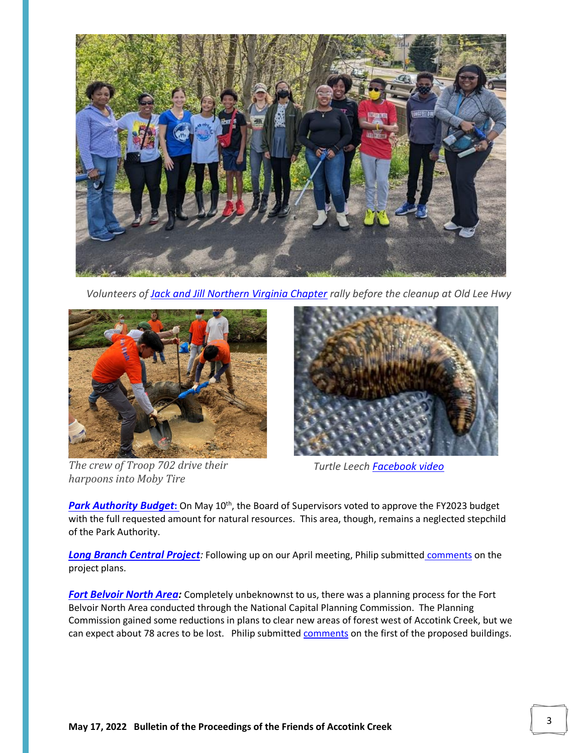

 *Volunteers of [Jack and Jill Northern Virginia Chapter](https://www.jackandjillnova.org/) rally before the cleanup at Old Lee Hwy*



*The crew of Troop 702 drive their harpoons into Moby Tire* 



*Turtle Leech [Facebook video](https://www.facebook.com/AccotinkCreek/videos/237630355223180)*

**[Park Authority Budget](https://www.accotink.org/2022/ParkAuthorityBudget2022.htm):** On May 10<sup>th</sup>, the Board of Supervisors voted to approve the FY2023 budget with the full requested amount for natural resources. This area, though, remains a neglected stepchild of the Park Authority.

*[Long Branch Central Project](http://www.accotink.org/2020/LongBranchCentralProject2020.htm):* Following up on our April meeting, Philip submitted [comments](https://www.accotink.org/2022/LongBranchCommentforMeeting20220411.pdf) on the project plans.

*[Fort Belvoir North Area:](https://www.accotink.org/2022/FortBelvoirNorthArea2022.htm)* Completely unbeknownst to us, there was a planning process for the Fort Belvoir North Area conducted through the National Capital Planning Commission. The Planning Commission gained some reductions in plans to clear new areas of forest west of Accotink Creek, but we can expect about 78 acres to be lost. Philip submitted [comments](https://www.accotink.org/2022/FortBelvoirDistributionFacilityEarlyInput20220503.pdf) on the first of the proposed buildings.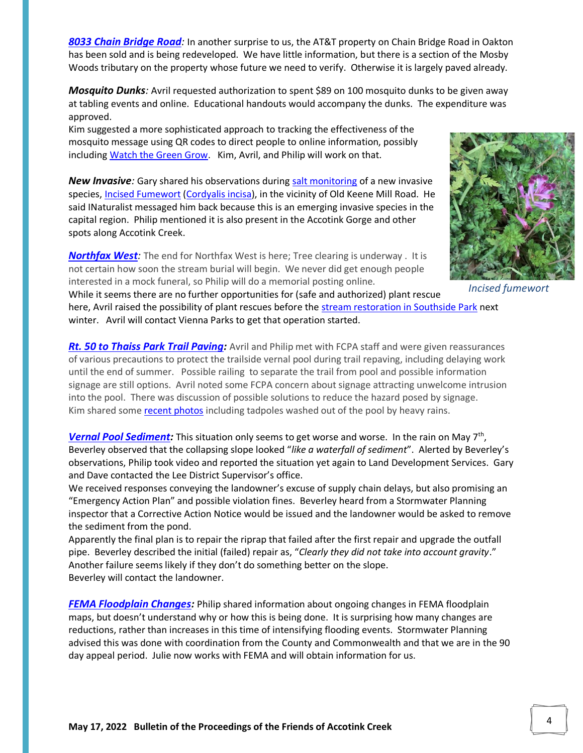*[8033 Chain Bridge Road](https://retailproperties.cbre.us/property/output/document/view/id:53743):* In another surprise to us, the AT&T property on Chain Bridge Road in Oakton has been sold and is being redeveloped. We have little information, but there is a section of the Mosby Woods tributary on the property whose future we need to verify. Otherwise it is largely paved already.

*Mosquito Dunks:* Avril requested authorization to spent \$89 on 100 mosquito dunks to be given away at tabling events and online. Educational handouts would accompany the dunks. The expenditure was approved.

Kim suggested a more sophisticated approach to tracking the effectiveness of the mosquito message using QR codes to direct people to online information, possibly including [Watch the Green Grow.](https://www.fairfaxcounty.gov/parks/nature-history/watch-green-grow) Kim, Avril, and Philip will work on that.

**New Invasive**: Gary shared his observations during [salt monitoring](https://www.accotink.org/2022/SaltWatch2022.htm) of a new invasive species[, Incised Fumewort](https://www.inaturalist.org/taxa/447077-Corydalis-incisa) [\(Cordyalis incisa\)](https://www.cbsnews.com/newyork/news/incised-fumewort-bronx/), in the vicinity of Old Keene Mill Road. He said INaturalist messaged him back because this is an emerging invasive species in the capital region. Philip mentioned it is also present in the Accotink Gorge and other spots along Accotink Creek.

*[Northfax West](https://www.accotink.org/2020/NorthfaxWest2020.htm):* The end for Northfax West is here; Tree clearing is underway . It is not certain how soon the stream burial will begin. We never did get enough people interested in a mock funeral, so Philip will do a memorial posting online.



 *Incised fumewort*

While it seems there are no further opportunities for (safe and authorized) plant rescue here, Avril raised the possibility of plant rescues before the [stream restoration in Southside Park](https://www.viennava.gov/your-government/town-departments-at-your-service/public-works/town-project-updates/public-works-project-updates/bear-branch-southside-park-stream-restoration) next winter. Avril will contact Vienna Parks to get that operation started.

**[Rt. 50 to Thaiss Park Trail Paving:](https://www.fairfaxcounty.gov/parks/sites/parks/files/assets/documents/trails/psa032-030922.pdf)** Avril and Philip met with FCPA staff and were given reassurances of various precautions to protect the trailside vernal pool during trail repaving, including delaying work until the end of summer. Possible railing to separate the trail from pool and possible information signage are still options. Avril noted some FCPA concern about signage attracting unwelcome intrusion into the pool. There was discussion of possible solutions to reduce the hazard posed by signage. Kim shared some [recent photos](https://photos.app.goo.gl/xkXKDU8MSbWgDcdL8) including tadpoles washed out of the pool by heavy rains.

*[Vernal Pool Sediment:](https://www.accotink.org/2019/VernalPoolSediment2019.htm)* This situation only seems to get worse and worse. In the rain on May 7th , Beverley observed that the collapsing slope looked "*like a waterfall of sediment*". Alerted by Beverley's observations, Philip took video and reported the situation yet again to Land Development Services. Gary and Dave contacted the Lee District Supervisor's office.

We received responses conveying the landowner's excuse of supply chain delays, but also promising an "Emergency Action Plan" and possible violation fines. Beverley heard from a Stormwater Planning inspector that a Corrective Action Notice would be issued and the landowner would be asked to remove the sediment from the pond.

Apparently the final plan is to repair the riprap that failed after the first repair and upgrade the outfall pipe. Beverley described the initial (failed) repair as, "*Clearly they did not take into account gravity*." Another failure seems likely if they don't do something better on the slope. Beverley will contact the landowner.

*[FEMA Floodplain Changes:](https://www.arcgis.com/apps/webappviewer/index.html?id=8796ff64d9f246ffa2b2296e8c44d8e1&extent=-8620679.9891%2C4692221.9207%2C-8591328.1703%2C4705865.9303%2C102100)* Philip shared information about ongoing changes in FEMA floodplain maps, but doesn't understand why or how this is being done. It is surprising how many changes are reductions, rather than increases in this time of intensifying flooding events. Stormwater Planning advised this was done with coordination from the County and Commonwealth and that we are in the 90 day appeal period. Julie now works with FEMA and will obtain information for us.